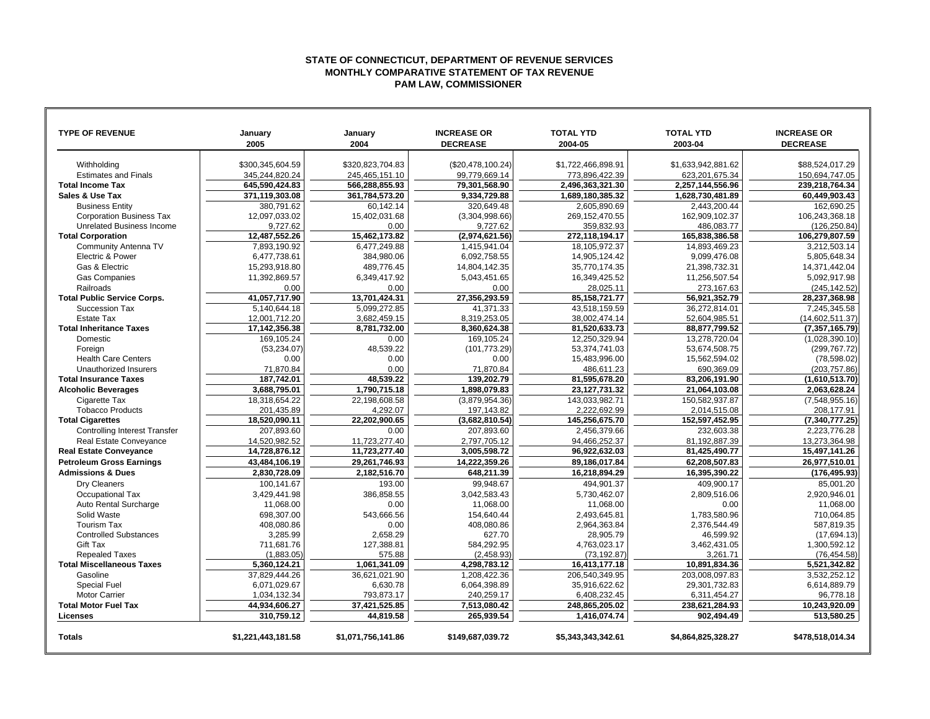## **STATE OF CONNECTICUT, DEPARTMENT OF REVENUE SERVICES MONTHLY COMPARATIVE STATEMENT OF TAX REVENUE PAM LAW, COMMISSIONER**

| <b>TYPE OF REVENUE</b>               | January            | January            | <b>INCREASE OR</b> | <b>TOTAL YTD</b>   | <b>TOTAL YTD</b>   | <b>INCREASE OR</b> |
|--------------------------------------|--------------------|--------------------|--------------------|--------------------|--------------------|--------------------|
|                                      | 2005               | 2004               | <b>DECREASE</b>    | 2004-05            | 2003-04            | <b>DECREASE</b>    |
|                                      |                    |                    |                    |                    |                    |                    |
| Withholding                          | \$300,345,604.59   | \$320,823,704.83   | (\$20,478,100.24)  | \$1,722,466,898.91 | \$1,633,942,881.62 | \$88,524,017.29    |
| <b>Estimates and Finals</b>          | 345,244,820.24     | 245,465,151.10     | 99,779,669.14      | 773,896,422.39     | 623,201,675.34     | 150,694,747.05     |
| <b>Total Income Tax</b>              | 645,590,424.83     | 566,288,855.93     | 79,301,568.90      | 2,496,363,321.30   | 2,257,144,556.96   | 239,218,764.34     |
| Sales & Use Tax                      | 371,119,303.08     | 361,784,573.20     | 9,334,729.88       | 1,689,180,385.32   | 1,628,730,481.89   | 60,449,903.43      |
| <b>Business Entity</b>               | 380,791.62         | 60,142.14          | 320,649.48         | 2,605,890.69       | 2,443,200.44       | 162,690.25         |
| <b>Corporation Business Tax</b>      | 12,097,033.02      | 15,402,031.68      | (3,304,998.66)     | 269, 152, 470.55   | 162,909,102.37     | 106,243,368.18     |
| Unrelated Business Income            | 9,727.62           | 0.00               | 9,727.62           | 359,832.93         | 486,083.77         | (126, 250.84)      |
| <b>Total Corporation</b>             | 12,487,552.26      | 15,462,173.82      | (2,974,621.56)     | 272,118,194.17     | 165,838,386.58     | 106,279,807.59     |
| Community Antenna TV                 | 7,893,190.92       | 6,477,249.88       | 1,415,941.04       | 18,105,972.37      | 14,893,469.23      | 3,212,503.14       |
| Electric & Power                     | 6,477,738.61       | 384.980.06         | 6.092.758.55       | 14,905,124.42      | 9.099.476.08       | 5,805,648.34       |
| Gas & Electric                       | 15,293,918.80      | 489.776.45         | 14,804,142.35      | 35,770,174.35      | 21,398,732.31      | 14,371,442.04      |
| <b>Gas Companies</b>                 | 11.392.869.57      | 6.349.417.92       | 5.043.451.65       | 16,349,425.52      | 11,256,507.54      | 5,092,917.98       |
| Railroads                            | 0.00               | 0.00               | 0.00               | 28,025.11          | 273,167.63         | (245, 142.52)      |
| <b>Total Public Service Corps.</b>   | 41,057,717.90      | 13,701,424.31      | 27.356.293.59      | 85,158,721.77      | 56,921,352.79      | 28,237,368.98      |
| Succession Tax                       | 5,140,644.18       | 5,099,272.85       | 41,371.33          | 43,518,159.59      | 36,272,814.01      | 7,245,345.58       |
| <b>Estate Tax</b>                    | 12,001,712.20      | 3,682,459.15       | 8,319,253.05       | 38,002,474.14      | 52,604,985.51      | (14,602,511.37)    |
| <b>Total Inheritance Taxes</b>       | 17.142.356.38      | 8,781,732.00       | 8.360.624.38       | 81.520.633.73      | 88.877.799.52      | (7, 357, 165.79)   |
| Domestic                             | 169.105.24         | 0.00               | 169.105.24         | 12.250.329.94      | 13.278.720.04      | (1,028,390.10)     |
| Foreign                              | (53, 234.07)       | 48,539.22          | (101,773.29)       | 53,374,741.03      | 53,674,508.75      | (299, 767.72)      |
| <b>Health Care Centers</b>           | 0.00               | 0.00               | 0.00               | 15,483,996.00      | 15.562.594.02      | (78, 598.02)       |
| Unauthorized Insurers                | 71.870.84          | 0.00               | 71.870.84          | 486.611.23         | 690.369.09         | (203.757.86)       |
| <b>Total Insurance Taxes</b>         | 187,742.01         | 48,539.22          | 139,202.79         | 81,595,678.20      | 83,206,191.90      | (1,610,513.70)     |
| <b>Alcoholic Beverages</b>           | 3,688,795.01       | 1,790,715.18       | 1,898,079.83       | 23,127,731.32      | 21,064,103.08      | 2,063,628.24       |
| Cigarette Tax                        | 18,318,654.22      | 22,198,608.58      | (3,879,954.36)     | 143,033,982.71     | 150,582,937.87     | (7,548,955.16)     |
| <b>Tobacco Products</b>              | 201,435.89         | 4,292.07           | 197,143.82         | 2,222,692.99       | 2,014,515.08       | 208,177.91         |
| <b>Total Cigarettes</b>              | 18,520,090.11      | 22,202,900.65      | (3,682,810.54)     | 145,256,675.70     | 152,597,452.95     | (7,340,777.25)     |
| <b>Controlling Interest Transfer</b> | 207,893.60         | 0.00               | 207,893.60         | 2,456,379.66       | 232,603.38         | 2,223,776.28       |
| Real Estate Conveyance               | 14,520,982.52      | 11,723,277.40      | 2,797,705.12       | 94,466,252.37      | 81,192,887.39      | 13,273,364.98      |
| <b>Real Estate Conveyance</b>        | 14,728,876.12      | 11,723,277.40      | 3,005,598.72       | 96,922,632.03      | 81,425,490.77      | 15,497,141.26      |
| <b>Petroleum Gross Earnings</b>      | 43,484,106.19      | 29,261,746.93      | 14,222,359.26      | 89,186,017.84      | 62,208,507.83      | 26,977,510.01      |
| <b>Admissions &amp; Dues</b>         | 2,830,728.09       | 2,182,516.70       | 648,211.39         | 16,218,894.29      | 16,395,390.22      | (176, 495.93)      |
| Dry Cleaners                         | 100.141.67         | 193.00             | 99.948.67          | 494,901.37         | 409,900.17         | 85,001.20          |
| Occupational Tax                     | 3,429,441.98       | 386,858.55         | 3,042,583.43       | 5,730,462.07       | 2,809,516.06       | 2,920,946.01       |
| Auto Rental Surcharge                | 11,068.00          | 0.00               | 11,068.00          | 11,068.00          | 0.00               | 11,068.00          |
| Solid Waste                          | 698,307.00         | 543,666.56         | 154,640.44         | 2,493,645.81       | 1,783,580.96       | 710,064.85         |
| <b>Tourism Tax</b>                   | 408.080.86         | 0.00               | 408.080.86         | 2,964,363.84       | 2.376.544.49       | 587,819.35         |
| <b>Controlled Substances</b>         | 3,285.99           | 2,658.29           | 627.70             | 28,905.79          | 46,599.92          | (17,694.13)        |
| <b>Gift Tax</b>                      | 711,681.76         | 127,388.81         | 584,292.95         | 4,763,023.17       | 3,462,431.05       | 1,300,592.12       |
| <b>Repealed Taxes</b>                | (1,883.05)         | 575.88             | (2,458.93)         | (73, 192.87)       | 3,261.71           | (76, 454.58)       |
| <b>Total Miscellaneous Taxes</b>     | 5,360,124.21       | 1,061,341.09       | 4,298,783.12       | 16,413,177.18      | 10.891.834.36      | 5.521.342.82       |
| Gasoline                             | 37.829.444.26      | 36.621.021.90      | 1.208.422.36       | 206.540.349.95     | 203.008.097.83     | 3.532.252.12       |
| <b>Special Fuel</b>                  | 6,071,029.67       | 6,630.78           | 6,064,398.89       | 35,916,622.62      | 29,301,732.83      | 6,614,889.79       |
| <b>Motor Carrier</b>                 | 1,034,132.34       | 793,873.17         | 240.259.17         | 6,408,232.45       | 6,311,454.27       | 96.778.18          |
| <b>Total Motor Fuel Tax</b>          | 44,934,606.27      | 37,421,525.85      | 7,513,080.42       | 248,865,205.02     | 238,621,284.93     | 10,243,920.09      |
| Licenses                             | 310.759.12         | 44.819.58          | 265.939.54         | 1.416.074.74       | 902.494.49         | 513.580.25         |
| <b>Totals</b>                        | \$1,221,443,181.58 | \$1.071.756.141.86 | \$149.687.039.72   | \$5,343,343,342.61 | \$4,864,825,328.27 | \$478.518.014.34   |
|                                      |                    |                    |                    |                    |                    |                    |